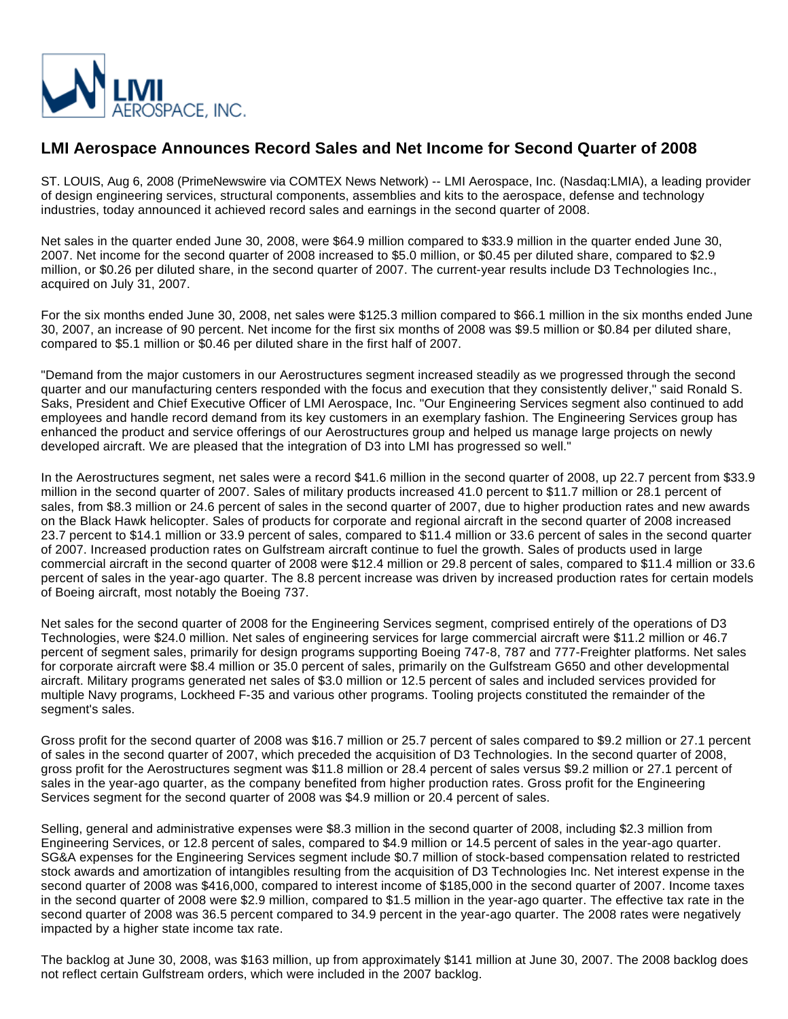

## **LMI Aerospace Announces Record Sales and Net Income for Second Quarter of 2008**

ST. LOUIS, Aug 6, 2008 (PrimeNewswire via COMTEX News Network) -- LMI Aerospace, Inc. (Nasdaq:LMIA), a leading provider of design engineering services, structural components, assemblies and kits to the aerospace, defense and technology industries, today announced it achieved record sales and earnings in the second quarter of 2008.

Net sales in the quarter ended June 30, 2008, were \$64.9 million compared to \$33.9 million in the quarter ended June 30, 2007. Net income for the second quarter of 2008 increased to \$5.0 million, or \$0.45 per diluted share, compared to \$2.9 million, or \$0.26 per diluted share, in the second quarter of 2007. The current-year results include D3 Technologies Inc., acquired on July 31, 2007.

For the six months ended June 30, 2008, net sales were \$125.3 million compared to \$66.1 million in the six months ended June 30, 2007, an increase of 90 percent. Net income for the first six months of 2008 was \$9.5 million or \$0.84 per diluted share, compared to \$5.1 million or \$0.46 per diluted share in the first half of 2007.

"Demand from the major customers in our Aerostructures segment increased steadily as we progressed through the second quarter and our manufacturing centers responded with the focus and execution that they consistently deliver," said Ronald S. Saks, President and Chief Executive Officer of LMI Aerospace, Inc. "Our Engineering Services segment also continued to add employees and handle record demand from its key customers in an exemplary fashion. The Engineering Services group has enhanced the product and service offerings of our Aerostructures group and helped us manage large projects on newly developed aircraft. We are pleased that the integration of D3 into LMI has progressed so well."

In the Aerostructures segment, net sales were a record \$41.6 million in the second quarter of 2008, up 22.7 percent from \$33.9 million in the second quarter of 2007. Sales of military products increased 41.0 percent to \$11.7 million or 28.1 percent of sales, from \$8.3 million or 24.6 percent of sales in the second quarter of 2007, due to higher production rates and new awards on the Black Hawk helicopter. Sales of products for corporate and regional aircraft in the second quarter of 2008 increased 23.7 percent to \$14.1 million or 33.9 percent of sales, compared to \$11.4 million or 33.6 percent of sales in the second quarter of 2007. Increased production rates on Gulfstream aircraft continue to fuel the growth. Sales of products used in large commercial aircraft in the second quarter of 2008 were \$12.4 million or 29.8 percent of sales, compared to \$11.4 million or 33.6 percent of sales in the year-ago quarter. The 8.8 percent increase was driven by increased production rates for certain models of Boeing aircraft, most notably the Boeing 737.

Net sales for the second quarter of 2008 for the Engineering Services segment, comprised entirely of the operations of D3 Technologies, were \$24.0 million. Net sales of engineering services for large commercial aircraft were \$11.2 million or 46.7 percent of segment sales, primarily for design programs supporting Boeing 747-8, 787 and 777-Freighter platforms. Net sales for corporate aircraft were \$8.4 million or 35.0 percent of sales, primarily on the Gulfstream G650 and other developmental aircraft. Military programs generated net sales of \$3.0 million or 12.5 percent of sales and included services provided for multiple Navy programs, Lockheed F-35 and various other programs. Tooling projects constituted the remainder of the segment's sales.

Gross profit for the second quarter of 2008 was \$16.7 million or 25.7 percent of sales compared to \$9.2 million or 27.1 percent of sales in the second quarter of 2007, which preceded the acquisition of D3 Technologies. In the second quarter of 2008, gross profit for the Aerostructures segment was \$11.8 million or 28.4 percent of sales versus \$9.2 million or 27.1 percent of sales in the year-ago quarter, as the company benefited from higher production rates. Gross profit for the Engineering Services segment for the second quarter of 2008 was \$4.9 million or 20.4 percent of sales.

Selling, general and administrative expenses were \$8.3 million in the second quarter of 2008, including \$2.3 million from Engineering Services, or 12.8 percent of sales, compared to \$4.9 million or 14.5 percent of sales in the year-ago quarter. SG&A expenses for the Engineering Services segment include \$0.7 million of stock-based compensation related to restricted stock awards and amortization of intangibles resulting from the acquisition of D3 Technologies Inc. Net interest expense in the second quarter of 2008 was \$416,000, compared to interest income of \$185,000 in the second quarter of 2007. Income taxes in the second quarter of 2008 were \$2.9 million, compared to \$1.5 million in the year-ago quarter. The effective tax rate in the second quarter of 2008 was 36.5 percent compared to 34.9 percent in the year-ago quarter. The 2008 rates were negatively impacted by a higher state income tax rate.

The backlog at June 30, 2008, was \$163 million, up from approximately \$141 million at June 30, 2007. The 2008 backlog does not reflect certain Gulfstream orders, which were included in the 2007 backlog.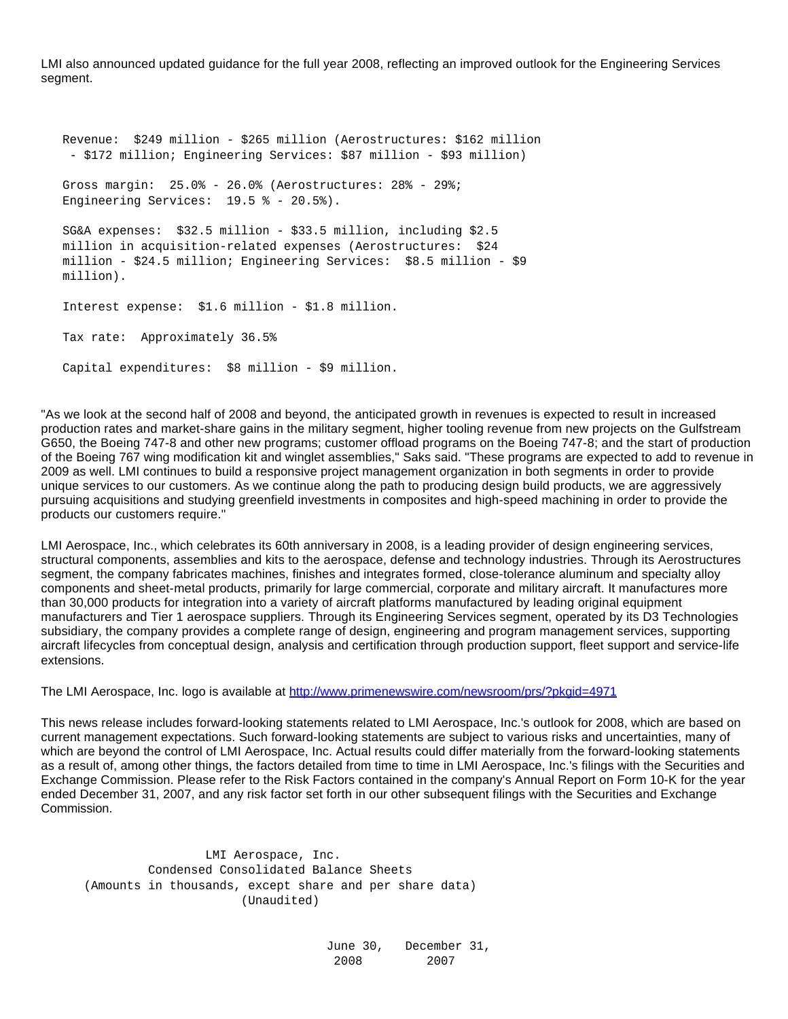LMI also announced updated guidance for the full year 2008, reflecting an improved outlook for the Engineering Services segment.

```
 Revenue: $249 million - $265 million (Aerostructures: $162 million
 - $172 million; Engineering Services: $87 million - $93 million)
Gross margin: 25.0% - 26.0% (Aerostructures: 28% - 29%;
Engineering Services: 19.5 % - 20.5%).
SG&A expenses: $32.5 million - $33.5 million, including $2.5
million in acquisition-related expenses (Aerostructures: $24
million - $24.5 million; Engineering Services: $8.5 million - $9
million).
Interest expense: $1.6 million - $1.8 million.
Tax rate: Approximately 36.5%
Capital expenditures: $8 million - $9 million.
```
"As we look at the second half of 2008 and beyond, the anticipated growth in revenues is expected to result in increased production rates and market-share gains in the military segment, higher tooling revenue from new projects on the Gulfstream G650, the Boeing 747-8 and other new programs; customer offload programs on the Boeing 747-8; and the start of production of the Boeing 767 wing modification kit and winglet assemblies," Saks said. "These programs are expected to add to revenue in 2009 as well. LMI continues to build a responsive project management organization in both segments in order to provide unique services to our customers. As we continue along the path to producing design build products, we are aggressively pursuing acquisitions and studying greenfield investments in composites and high-speed machining in order to provide the products our customers require."

LMI Aerospace, Inc., which celebrates its 60th anniversary in 2008, is a leading provider of design engineering services, structural components, assemblies and kits to the aerospace, defense and technology industries. Through its Aerostructures segment, the company fabricates machines, finishes and integrates formed, close-tolerance aluminum and specialty alloy components and sheet-metal products, primarily for large commercial, corporate and military aircraft. It manufactures more than 30,000 products for integration into a variety of aircraft platforms manufactured by leading original equipment manufacturers and Tier 1 aerospace suppliers. Through its Engineering Services segment, operated by its D3 Technologies subsidiary, the company provides a complete range of design, engineering and program management services, supporting aircraft lifecycles from conceptual design, analysis and certification through production support, fleet support and service-life extensions.

The LMI Aerospace, Inc. logo is available at <http://www.primenewswire.com/newsroom/prs/?pkgid=4971>

This news release includes forward-looking statements related to LMI Aerospace, Inc.'s outlook for 2008, which are based on current management expectations. Such forward-looking statements are subject to various risks and uncertainties, many of which are beyond the control of LMI Aerospace, Inc. Actual results could differ materially from the forward-looking statements as a result of, among other things, the factors detailed from time to time in LMI Aerospace, Inc.'s filings with the Securities and Exchange Commission. Please refer to the Risk Factors contained in the company's Annual Report on Form 10-K for the year ended December 31, 2007, and any risk factor set forth in our other subsequent filings with the Securities and Exchange Commission.

 LMI Aerospace, Inc. Condensed Consolidated Balance Sheets (Amounts in thousands, except share and per share data) (Unaudited)

```
 June 30, December 31,
2008 2007
```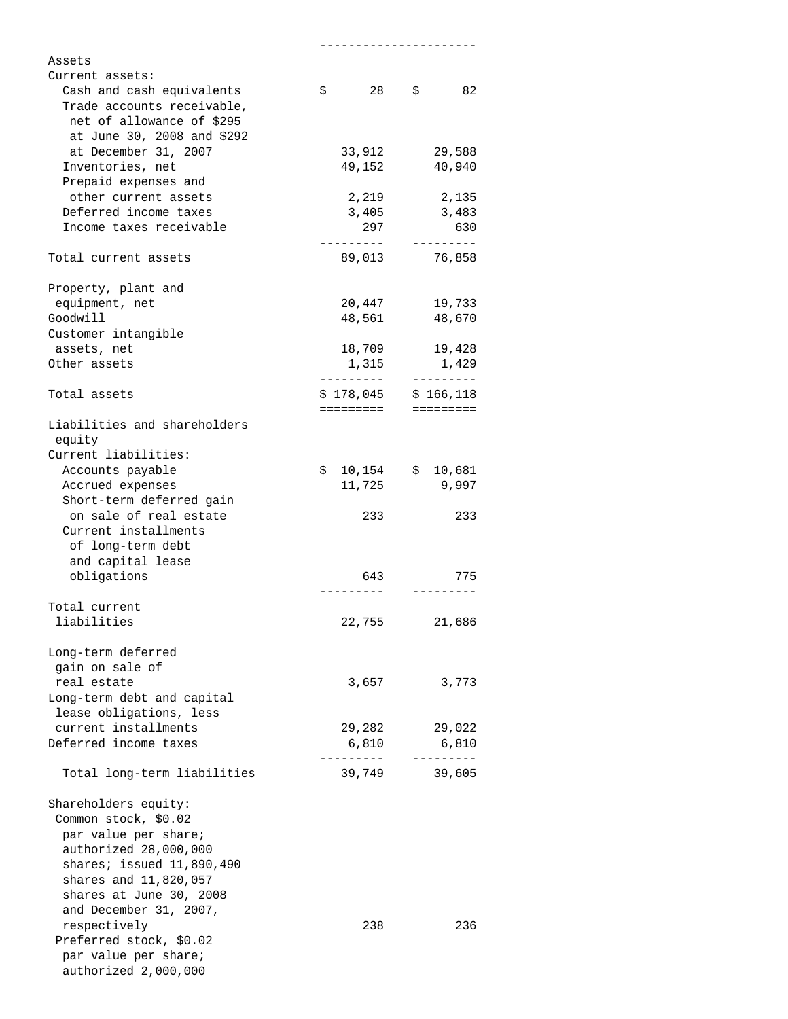| Assets                       |                        |    |                 |
|------------------------------|------------------------|----|-----------------|
| Current assets:              |                        |    |                 |
| Cash and cash equivalents    | \$<br>28               | \$ | 82              |
| Trade accounts receivable,   |                        |    |                 |
|                              |                        |    |                 |
| net of allowance of \$295    |                        |    |                 |
| at June 30, 2008 and \$292   |                        |    |                 |
| at December 31, 2007         | 33,912                 |    | 29,588          |
| Inventories, net             | 49,152                 |    | 40,940          |
| Prepaid expenses and         |                        |    |                 |
| other current assets         | 2,219                  |    | 2,135           |
| Deferred income taxes        | 3,405                  |    | 3,483           |
| Income taxes receivable      | 297                    |    | 630             |
|                              |                        |    | --------        |
| Total current assets         | 89,013                 |    | 76,858          |
|                              |                        |    |                 |
| Property, plant and          |                        |    |                 |
|                              |                        |    |                 |
| equipment, net               | 20,447                 |    | 19,733          |
| Goodwill                     | 48,561                 |    | 48,670          |
| Customer intangible          |                        |    |                 |
| assets, net                  | 18,709                 |    | 19,428          |
| Other assets                 | 1,315 1,429            |    |                 |
|                              | ----------             |    | ---------       |
| Total assets                 | \$178,045              |    | \$166,118       |
|                              | =========              |    | <b>EEEEEEEE</b> |
| Liabilities and shareholders |                        |    |                 |
| equity                       |                        |    |                 |
| Current liabilities:         |                        |    |                 |
| Accounts payable             | \$<br>10,154 \$ 10,681 |    |                 |
|                              | 11,725                 |    | 9,997           |
| Accrued expenses             |                        |    |                 |
| Short-term deferred gain     |                        |    |                 |
| on sale of real estate       | 233                    |    | 233             |
| Current installments         |                        |    |                 |
| of long-term debt            |                        |    |                 |
| and capital lease            |                        |    |                 |
| obligations                  | 643                    |    | 775             |
|                              |                        |    |                 |
| Total current                |                        |    |                 |
| liabilities                  | 22,755                 |    | 21,686          |
|                              |                        |    |                 |
| Long-term deferred           |                        |    |                 |
|                              |                        |    |                 |
| gain on sale of              |                        |    |                 |
| real estate                  | 3,657                  |    | 3,773           |
| Long-term debt and capital   |                        |    |                 |
| lease obligations, less      |                        |    |                 |
| current installments         | 29,282                 |    | 29,022          |
| Deferred income taxes        | 6,810                  |    | 6,810           |
|                              | --------               |    | ---------       |
| Total long-term liabilities  | 39,749                 |    | 39,605          |
|                              |                        |    |                 |
| Shareholders equity:         |                        |    |                 |
| Common stock, \$0.02         |                        |    |                 |
| par value per share;         |                        |    |                 |
| authorized 28,000,000        |                        |    |                 |
|                              |                        |    |                 |
| shares; issued $11,890,490$  |                        |    |                 |
| shares and 11,820,057        |                        |    |                 |
| shares at June 30, 2008      |                        |    |                 |
| and December 31, 2007,       |                        |    |                 |
| respectively                 | 238                    |    | 236             |
| Preferred stock, \$0.02      |                        |    |                 |
| par value per share;         |                        |    |                 |
| authorized 2,000,000         |                        |    |                 |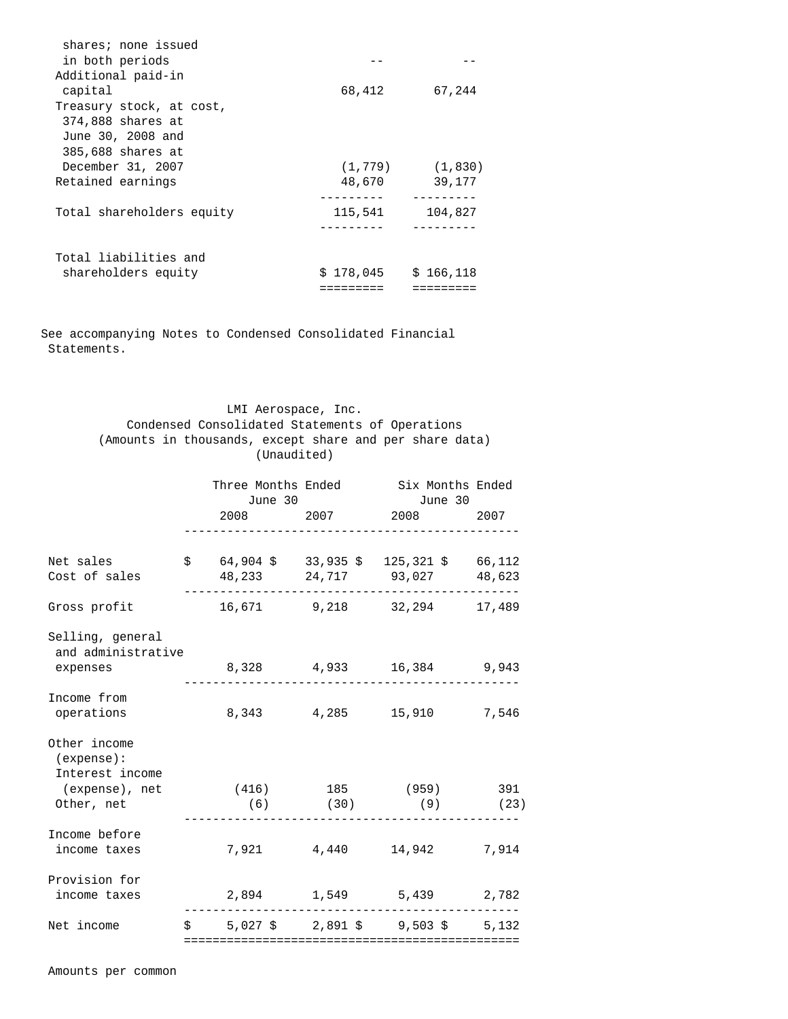| shares; none issued       |           |           |
|---------------------------|-----------|-----------|
| in both periods           |           |           |
| Additional paid-in        |           |           |
| capital                   | 68,412    | 67,244    |
| Treasury stock, at cost,  |           |           |
| 374,888 shares at         |           |           |
| June 30, 2008 and         |           |           |
| 385,688 shares at         |           |           |
| December 31, 2007         | (1, 779)  | (1, 830)  |
| Retained earnings         | 48,670    | 39,177    |
|                           |           |           |
| Total shareholders equity | 115,541   | 104,827   |
|                           |           |           |
| Total liabilities and     |           |           |
| shareholders equity       | \$178,045 | \$166,118 |
|                           |           |           |

See accompanying Notes to Condensed Consolidated Financial Statements.

Condensed Consolidated Statements of Operations

LMI Aerospace, Inc.

| (Amounts in thousands, except share and per share data)<br>(Unaudited) |  |         |  |                                                                                  |  |  |  |
|------------------------------------------------------------------------|--|---------|--|----------------------------------------------------------------------------------|--|--|--|
|                                                                        |  | June 30 |  | Three Months Ended Six Months Ended<br>June 30                                   |  |  |  |
|                                                                        |  |         |  | 2008 2007 2008 2007                                                              |  |  |  |
| Net sales<br>Cost of sales                                             |  |         |  | $$64,904 \text{ }$ \$ 33,935 \$ 125,321 \$ 66,112<br>48,233 24,717 93,027 48,623 |  |  |  |
| Gross profit                                                           |  |         |  | 16,671 9,218 32,294 17,489                                                       |  |  |  |
| Selling, general<br>and administrative                                 |  |         |  |                                                                                  |  |  |  |
| expenses                                                               |  |         |  | 8,328 4,933 16,384 9,943                                                         |  |  |  |
| Income from<br>operations                                              |  |         |  | 8,343 4,285 15,910 7,546                                                         |  |  |  |
| Other income<br>(expense):<br>Interest income                          |  |         |  |                                                                                  |  |  |  |
| (expense), net                                                         |  |         |  | $(416)$ 185 (959) 391                                                            |  |  |  |
| Other, net                                                             |  |         |  | $(6)$ $(30)$ $(9)$ $(23)$                                                        |  |  |  |
| Income before<br>income taxes                                          |  |         |  | 7,921 4,440 14,942 7,914                                                         |  |  |  |
| Provision for<br>income taxes                                          |  |         |  | 2,894 1,549 5,439 2,782                                                          |  |  |  |
| Net income                                                             |  |         |  | $$5,027$ \$ 2,891 \$ 9,503 \$ 5,132                                              |  |  |  |